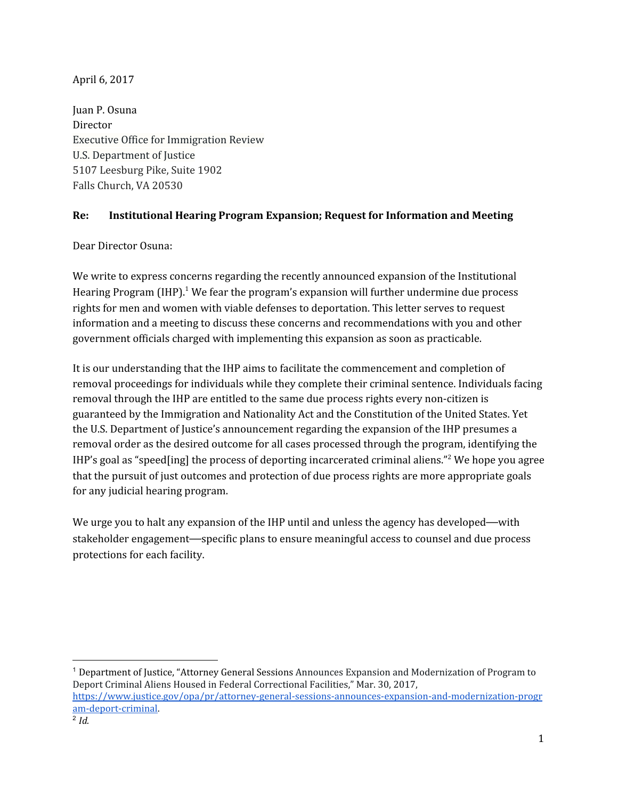## April 6, 2017

Juan P. Osuna Director Executive Office for Immigration Review U.S. Department of Justice 5107 Leesburg Pike, Suite 1902 Falls Church, VA 20530

## **Re: Institutional Hearing Program Expansion; Request for Information and Meeting**

Dear Director Osuna:

We write to express concerns regarding the recently announced expansion of the Institutional Hearing Program (IHP). $^1$  We fear the program's expansion will further undermine due process rights for men and women with viable defenses to deportation. This letter serves to request information and a meeting to discuss these concerns and recommendations with you and other government officials charged with implementing this expansion as soon as practicable.

It is our understanding that the IHP aims to facilitate the commencement and completion of removal proceedings for individuals while they complete their criminal sentence. Individuals facing removal through the IHP are entitled to the same due process rights every non-citizen is guaranteed by the Immigration and Nationality Act and the Constitution of the United States. Yet the U.S. Department of Justice's announcement regarding the expansion of the IHP presumes a removal order as the desired outcome for all cases processed through the program, identifying the IHP's goal as "speed[ing] the process of deporting incarcerated criminal aliens."<sup>2</sup> We hope you agree that the pursuit of just outcomes and protection of due process rights are more appropriate goals for any judicial hearing program.

We urge you to halt any expansion of the IHP until and unless the agency has developed—with stakeholder engagement—specific plans to ensure meaningful access to counsel and due process protections for each facility.

<sup>1</sup> Department of Justice, "Attorney General Sessions Announces Expansion and Modernization of Program to Deport Criminal Aliens Housed in Federal Correctional Facilities," Mar. 30, 2017[,](https://www.justice.gov/opa/pr/attorney-general-sessions-announces-expansion-and-modernization-program-deport-criminal) [https://www.justice.gov/opa/pr/attorney-general-sessions-announces-expansion-and-modernization-progr](https://www.justice.gov/opa/pr/attorney-general-sessions-announces-expansion-and-modernization-program-deport-criminal) [am-deport-criminal.](https://www.justice.gov/opa/pr/attorney-general-sessions-announces-expansion-and-modernization-program-deport-criminal) 2 *Id.*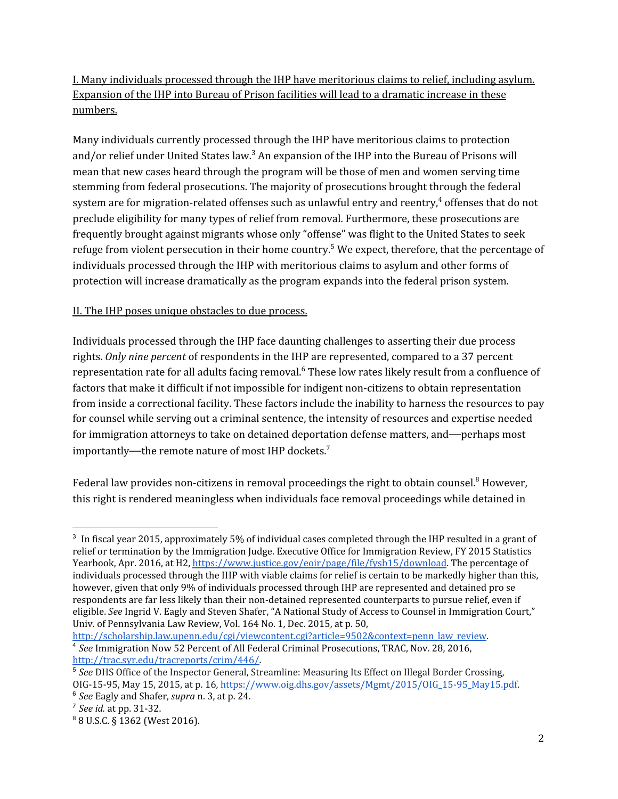I. Many individuals processed through the IHP have meritorious claims to relief, including asylum. Expansion of the IHP into Bureau of Prison facilities will lead to a dramatic increase in these numbers.

Many individuals currently processed through the IHP have meritorious claims to protection and/or relief under United States law. $^3$  An expansion of the IHP into the Bureau of Prisons will mean that new cases heard through the program will be those of men and women serving time stemming from federal prosecutions. The majority of prosecutions brought through the federal system are for migration-related offenses such as unlawful entry and reentry, $^4$  offenses that do not preclude eligibility for many types of relief from removal. Furthermore, these prosecutions are frequently brought against migrants whose only "offense" was flight to the United States to seek refuge from violent persecution in their home country.<sup>5</sup> We expect, therefore, that the percentage of individuals processed through the IHP with meritorious claims to asylum and other forms of protection will increase dramatically as the program expands into the federal prison system.

## II. The IHP poses unique obstacles to due process.

Individuals processed through the IHP face daunting challenges to asserting their due process rights. *Only nine percent* of respondents in the IHP are represented, compared to a 37 percent representation rate for all adults facing removal. $^6$  These low rates likely result from a confluence of factors that make it difficult if not impossible for indigent non-citizens to obtain representation from inside a correctional facility. These factors include the inability to harness the resources to pay for counsel while serving out a criminal sentence, the intensity of resources and expertise needed for immigration attorneys to take on detained deportation defense matters, and—perhaps most importantly—the remote nature of most IHP dockets.<sup>7</sup>

Federal law provides non-citizens in removal proceedings the right to obtain counsel.<sup>8</sup> However, this right is rendered meaningless when individuals face removal proceedings while detained in

<sup>3</sup> In fiscal year 2015, approximately 5% of individual cases completed through the IHP resulted in a grant of relief or termination by the Immigration Judge. Executive Office for Immigration Review, FY 2015 Statistics Yearbook, Apr. 2016, at H2[,](https://www.justice.gov/eoir/page/file/fysb15/download) [https://www.justice.gov/eoir/page/file/fysb15/download.](https://www.justice.gov/eoir/page/file/fysb15/download) The percentage of individuals processed through the IHP with viable claims for relief is certain to be markedly higher than this, however, given that only 9% of individuals processed through IHP are represented and detained pro se respondents are far less likely than their non-detained represented counterparts to pursue relief, even if eligible. *See* Ingrid V. Eagly and Steven Shafer, "A National Study of Access to Counsel in Immigration Court," Univ. of Pennsylvania Law Review, Vol. 164 No. 1, Dec. 2015, at p. 50[,](http://scholarship.law.upenn.edu/cgi/viewcontent.cgi?article=9502&context=penn_law_review)

[http://scholarship.law.upenn.edu/cgi/viewcontent.cgi?article=9502&context=penn\\_law\\_review.](http://scholarship.law.upenn.edu/cgi/viewcontent.cgi?article=9502&context=penn_law_review) <sup>4</sup> *See* Immigration Now 52 Percent of All Federal Criminal Prosecutions, TRAC, Nov. 28, 2016[,](http://trac.syr.edu/tracreports/crim/446/) [http://trac.syr.edu/tracreports/crim/446/.](http://trac.syr.edu/tracreports/crim/446/)

<sup>&</sup>lt;sup>5</sup> See DHS Office of the Inspector General, Streamline: Measuring Its Effect on Illegal Border Crossing, OIG-15-95, May 15, 2015, at p. 16, [https://www.oig.dhs.gov/assets/Mgmt/2015/OIG\\_15-95\\_May15.pdf.](https://www.oig.dhs.gov/assets/Mgmt/2015/OIG_15-95_May15.pdf)

<sup>6</sup> *See* Eagly and Shafer, *supra* n. 3, at p. 24.

<sup>7</sup> *See id.* at pp. 31-32.

<sup>8</sup> 8 U.S.C. § 1362 (West 2016).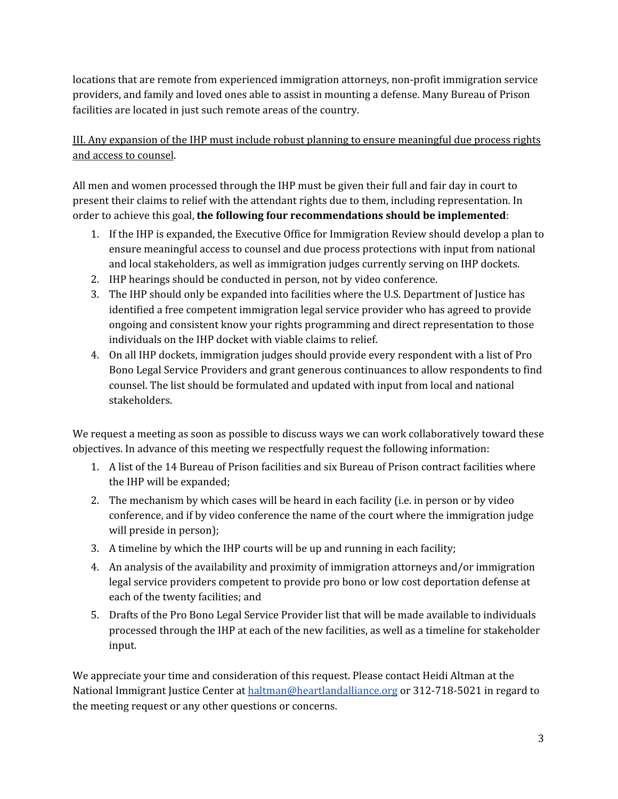locations that are remote from experienced immigration attorneys, non-profit immigration service providers, and family and loved ones able to assist in mounting a defense. Many Bureau of Prison facilities are located in just such remote areas of the country.

III. Any expansion of the IHP must include robust planning to ensure meaningful due process rights and access to counsel.

All men and women processed through the IHP must be given their full and fair day in court to present their claims to relief with the attendant rights due to them, including representation. In order to achieve this goal, **the following four recommendations should be implemented**:

- 1. If the IHP is expanded, the Executive Office for Immigration Review should develop a plan to ensure meaningful access to counsel and due process protections with input from national and local stakeholders, as well as immigration judges currently serving on IHP dockets.
- 2. IHP hearings should be conducted in person, not by video conference.
- 3. The IHP should only be expanded into facilities where the U.S. Department of Justice has identified a free competent immigration legal service provider who has agreed to provide ongoing and consistent know your rights programming and direct representation to those individuals on the IHP docket with viable claims to relief.
- 4. On all IHP dockets, immigration judges should provide every respondent with a list of Pro Bono Legal Service Providers and grant generous continuances to allow respondents to find counsel. The list should be formulated and updated with input from local and national stakeholders.

We request a meeting as soon as possible to discuss ways we can work collaboratively toward these objectives. In advance of this meeting we respectfully request the following information:

- 1. A list of the 14 Bureau of Prison facilities and six Bureau of Prison contract facilities where the IHP will be expanded;
- 2. The mechanism by which cases will be heard in each facility (i.e. in person or by video conference, and if by video conference the name of the court where the immigration judge will preside in person);
- 3. A timeline by which the IHP courts will be up and running in each facility;
- 4. An analysis of the availability and proximity of immigration attorneys and/or immigration legal service providers competent to provide pro bono or low cost deportation defense at each of the twenty facilities; and
- 5. Drafts of the Pro Bono Legal Service Provider list that will be made available to individuals processed through the IHP at each of the new facilities, as well as a timeline for stakeholder input.

We appreciate your time and consideration of this request. Please contact Heidi Altman at the National Immigrant Justice Center at [haltman@heartlandalliance.org](mailto:haltman@heartlandalliance.org) or 312-718-5021 in regard to the meeting request or any other questions or concerns.